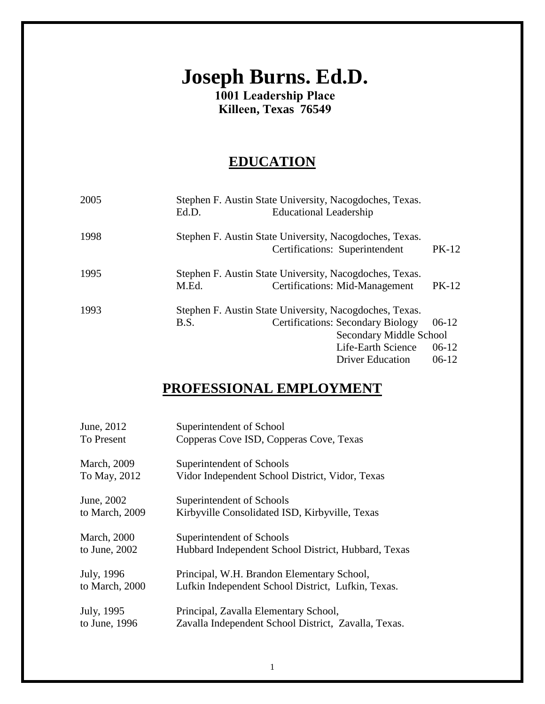# **Joseph Burns. Ed.D.**

**1001 Leadership Place Killeen, Texas 76549**

# **EDUCATION**

| Ed.D.                                                   |  |                         |                                                                                                                                                                                                                                                                                                                                       |
|---------------------------------------------------------|--|-------------------------|---------------------------------------------------------------------------------------------------------------------------------------------------------------------------------------------------------------------------------------------------------------------------------------------------------------------------------------|
|                                                         |  |                         |                                                                                                                                                                                                                                                                                                                                       |
|                                                         |  |                         | PK-12                                                                                                                                                                                                                                                                                                                                 |
|                                                         |  |                         |                                                                                                                                                                                                                                                                                                                                       |
| M.Ed.                                                   |  |                         | <b>PK-12</b>                                                                                                                                                                                                                                                                                                                          |
| Stephen F. Austin State University, Nacogdoches, Texas. |  |                         |                                                                                                                                                                                                                                                                                                                                       |
| B.S.                                                    |  |                         | $06-12$                                                                                                                                                                                                                                                                                                                               |
| Secondary Middle School                                 |  |                         |                                                                                                                                                                                                                                                                                                                                       |
|                                                         |  | Life-Earth Science      | $06-12$                                                                                                                                                                                                                                                                                                                               |
|                                                         |  | <b>Driver Education</b> | $06-12$                                                                                                                                                                                                                                                                                                                               |
|                                                         |  |                         | Stephen F. Austin State University, Nacogdoches, Texas.<br><b>Educational Leadership</b><br>Stephen F. Austin State University, Nacogdoches, Texas.<br>Certifications: Superintendent<br>Stephen F. Austin State University, Nacogdoches, Texas.<br><b>Certifications: Mid-Management</b><br><b>Certifications: Secondary Biology</b> |

# **PROFESSIONAL EMPLOYMENT**

| June, 2012          | Superintendent of School                             |
|---------------------|------------------------------------------------------|
| To Present          | Copperas Cove ISD, Copperas Cove, Texas              |
| <b>March</b> , 2009 | Superintendent of Schools                            |
| To May, 2012        | Vidor Independent School District, Vidor, Texas      |
| June, 2002          | Superintendent of Schools                            |
| to March, 2009      | Kirbyville Consolidated ISD, Kirbyville, Texas       |
| <b>March</b> , 2000 | Superintendent of Schools                            |
| to June, 2002       | Hubbard Independent School District, Hubbard, Texas  |
| July, 1996          | Principal, W.H. Brandon Elementary School,           |
| to March, 2000      | Lufkin Independent School District, Lufkin, Texas.   |
| July, 1995          | Principal, Zavalla Elementary School,                |
| to June, 1996       | Zavalla Independent School District, Zavalla, Texas. |